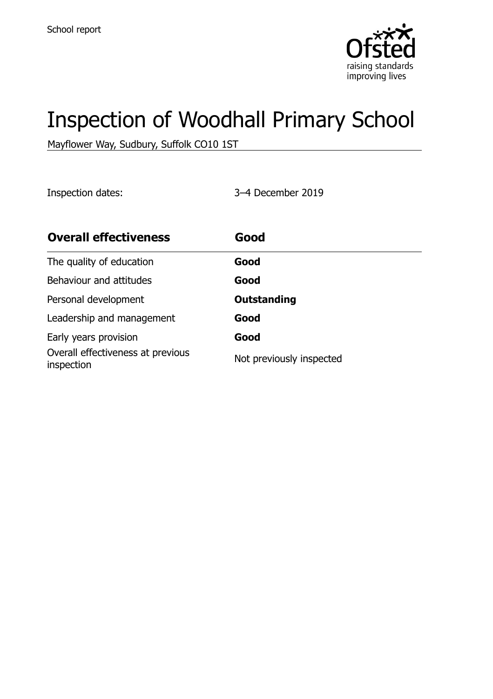

# Inspection of Woodhall Primary School

Mayflower Way, Sudbury, Suffolk CO10 1ST

Inspection dates: 3–4 December 2019

| <b>Overall effectiveness</b>                    | Good                     |
|-------------------------------------------------|--------------------------|
| The quality of education                        | Good                     |
| Behaviour and attitudes                         | Good                     |
| Personal development                            | <b>Outstanding</b>       |
| Leadership and management                       | Good                     |
| Early years provision                           | Good                     |
| Overall effectiveness at previous<br>inspection | Not previously inspected |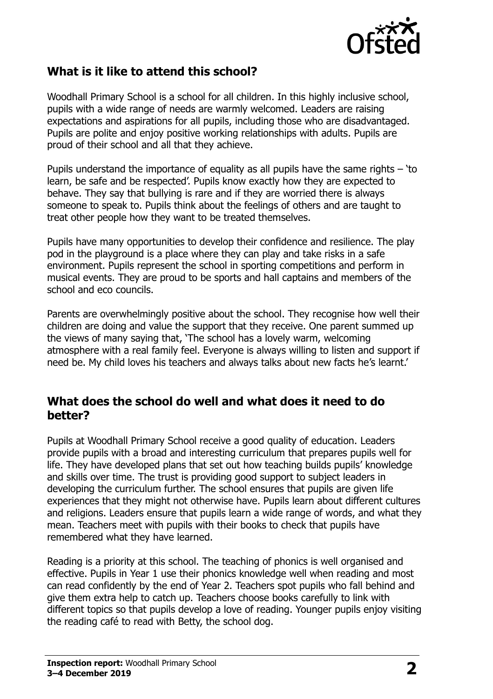

### **What is it like to attend this school?**

Woodhall Primary School is a school for all children. In this highly inclusive school, pupils with a wide range of needs are warmly welcomed. Leaders are raising expectations and aspirations for all pupils, including those who are disadvantaged. Pupils are polite and enjoy positive working relationships with adults. Pupils are proud of their school and all that they achieve.

Pupils understand the importance of equality as all pupils have the same rights  $-$  'to learn, be safe and be respected'. Pupils know exactly how they are expected to behave. They say that bullying is rare and if they are worried there is always someone to speak to. Pupils think about the feelings of others and are taught to treat other people how they want to be treated themselves.

Pupils have many opportunities to develop their confidence and resilience. The play pod in the playground is a place where they can play and take risks in a safe environment. Pupils represent the school in sporting competitions and perform in musical events. They are proud to be sports and hall captains and members of the school and eco councils.

Parents are overwhelmingly positive about the school. They recognise how well their children are doing and value the support that they receive. One parent summed up the views of many saying that, 'The school has a lovely warm, welcoming atmosphere with a real family feel. Everyone is always willing to listen and support if need be. My child loves his teachers and always talks about new facts he's learnt.'

#### **What does the school do well and what does it need to do better?**

Pupils at Woodhall Primary School receive a good quality of education. Leaders provide pupils with a broad and interesting curriculum that prepares pupils well for life. They have developed plans that set out how teaching builds pupils' knowledge and skills over time. The trust is providing good support to subject leaders in developing the curriculum further. The school ensures that pupils are given life experiences that they might not otherwise have. Pupils learn about different cultures and religions. Leaders ensure that pupils learn a wide range of words, and what they mean. Teachers meet with pupils with their books to check that pupils have remembered what they have learned.

Reading is a priority at this school. The teaching of phonics is well organised and effective. Pupils in Year 1 use their phonics knowledge well when reading and most can read confidently by the end of Year 2. Teachers spot pupils who fall behind and give them extra help to catch up. Teachers choose books carefully to link with different topics so that pupils develop a love of reading. Younger pupils enjoy visiting the reading café to read with Betty, the school dog.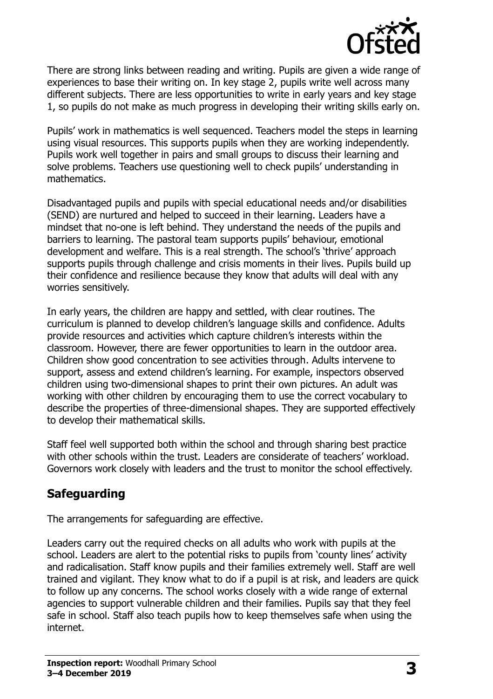

There are strong links between reading and writing. Pupils are given a wide range of experiences to base their writing on. In key stage 2, pupils write well across many different subjects. There are less opportunities to write in early years and key stage 1, so pupils do not make as much progress in developing their writing skills early on.

Pupils' work in mathematics is well sequenced. Teachers model the steps in learning using visual resources. This supports pupils when they are working independently. Pupils work well together in pairs and small groups to discuss their learning and solve problems. Teachers use questioning well to check pupils' understanding in mathematics.

Disadvantaged pupils and pupils with special educational needs and/or disabilities (SEND) are nurtured and helped to succeed in their learning. Leaders have a mindset that no-one is left behind. They understand the needs of the pupils and barriers to learning. The pastoral team supports pupils' behaviour, emotional development and welfare. This is a real strength. The school's 'thrive' approach supports pupils through challenge and crisis moments in their lives. Pupils build up their confidence and resilience because they know that adults will deal with any worries sensitively.

In early years, the children are happy and settled, with clear routines. The curriculum is planned to develop children's language skills and confidence. Adults provide resources and activities which capture children's interests within the classroom. However, there are fewer opportunities to learn in the outdoor area. Children show good concentration to see activities through. Adults intervene to support, assess and extend children's learning. For example, inspectors observed children using two-dimensional shapes to print their own pictures. An adult was working with other children by encouraging them to use the correct vocabulary to describe the properties of three-dimensional shapes. They are supported effectively to develop their mathematical skills.

Staff feel well supported both within the school and through sharing best practice with other schools within the trust. Leaders are considerate of teachers' workload. Governors work closely with leaders and the trust to monitor the school effectively.

# **Safeguarding**

The arrangements for safeguarding are effective.

Leaders carry out the required checks on all adults who work with pupils at the school. Leaders are alert to the potential risks to pupils from 'county lines' activity and radicalisation. Staff know pupils and their families extremely well. Staff are well trained and vigilant. They know what to do if a pupil is at risk, and leaders are quick to follow up any concerns. The school works closely with a wide range of external agencies to support vulnerable children and their families. Pupils say that they feel safe in school. Staff also teach pupils how to keep themselves safe when using the internet.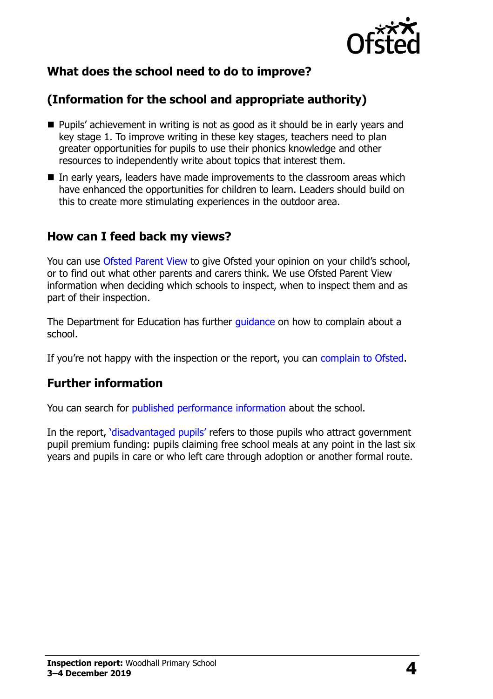

# **What does the school need to do to improve?**

# **(Information for the school and appropriate authority)**

- Pupils' achievement in writing is not as good as it should be in early years and key stage 1. To improve writing in these key stages, teachers need to plan greater opportunities for pupils to use their phonics knowledge and other resources to independently write about topics that interest them.
- In early years, leaders have made improvements to the classroom areas which have enhanced the opportunities for children to learn. Leaders should build on this to create more stimulating experiences in the outdoor area.

#### **How can I feed back my views?**

You can use [Ofsted Parent View](http://parentview.ofsted.gov.uk/) to give Ofsted your opinion on your child's school, or to find out what other parents and carers think. We use Ofsted Parent View information when deciding which schools to inspect, when to inspect them and as part of their inspection.

The Department for Education has further [guidance](http://www.gov.uk/complain-about-school) on how to complain about a school.

If you're not happy with the inspection or the report, you can [complain to Ofsted.](http://www.gov.uk/complain-ofsted-report)

#### **Further information**

You can search for [published performance information](http://www.compare-school-performance.service.gov.uk/) about the school.

In the report, '[disadvantaged pupils](http://www.gov.uk/guidance/pupil-premium-information-for-schools-and-alternative-provision-settings)' refers to those pupils who attract government pupil premium funding: pupils claiming free school meals at any point in the last six years and pupils in care or who left care through adoption or another formal route.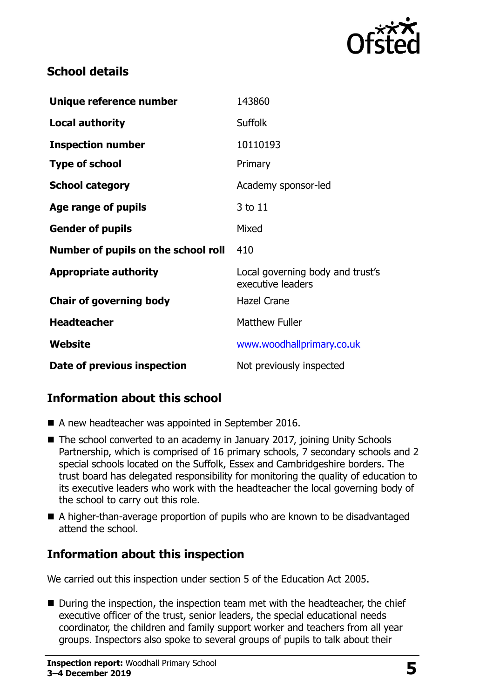

## **School details**

| Unique reference number             | 143860                                                |
|-------------------------------------|-------------------------------------------------------|
| <b>Local authority</b>              | <b>Suffolk</b>                                        |
| <b>Inspection number</b>            | 10110193                                              |
| <b>Type of school</b>               | Primary                                               |
| <b>School category</b>              | Academy sponsor-led                                   |
| Age range of pupils                 | 3 to 11                                               |
| <b>Gender of pupils</b>             | Mixed                                                 |
| Number of pupils on the school roll | 410                                                   |
| <b>Appropriate authority</b>        | Local governing body and trust's<br>executive leaders |
| <b>Chair of governing body</b>      | <b>Hazel Crane</b>                                    |
| <b>Headteacher</b>                  | <b>Matthew Fuller</b>                                 |
| Website                             | www.woodhallprimary.co.uk                             |
| Date of previous inspection         | Not previously inspected                              |

# **Information about this school**

- A new headteacher was appointed in September 2016.
- The school converted to an academy in January 2017, joining Unity Schools Partnership, which is comprised of 16 primary schools, 7 secondary schools and 2 special schools located on the Suffolk, Essex and Cambridgeshire borders. The trust board has delegated responsibility for monitoring the quality of education to its executive leaders who work with the headteacher the local governing body of the school to carry out this role.
- A higher-than-average proportion of pupils who are known to be disadvantaged attend the school.

# **Information about this inspection**

We carried out this inspection under section 5 of the Education Act 2005.

■ During the inspection, the inspection team met with the headteacher, the chief executive officer of the trust, senior leaders, the special educational needs coordinator, the children and family support worker and teachers from all year groups. Inspectors also spoke to several groups of pupils to talk about their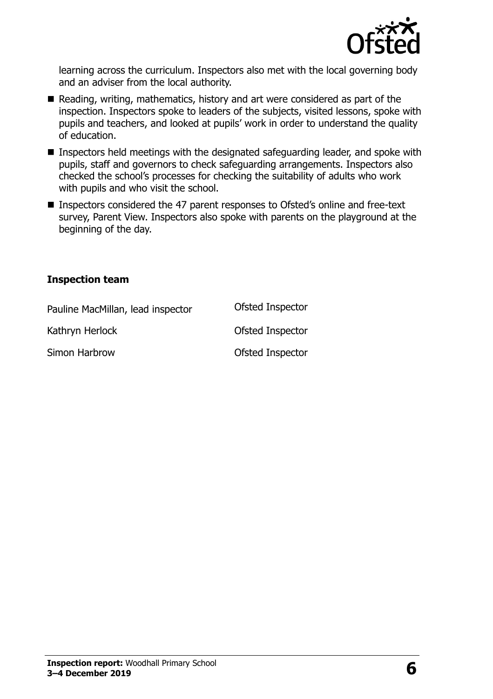

learning across the curriculum. Inspectors also met with the local governing body and an adviser from the local authority.

- Reading, writing, mathematics, history and art were considered as part of the inspection. Inspectors spoke to leaders of the subjects, visited lessons, spoke with pupils and teachers, and looked at pupils' work in order to understand the quality of education.
- **Inspectors held meetings with the designated safeguarding leader, and spoke with** pupils, staff and governors to check safeguarding arrangements. Inspectors also checked the school's processes for checking the suitability of adults who work with pupils and who visit the school.
- Inspectors considered the 47 parent responses to Ofsted's online and free-text survey, Parent View. Inspectors also spoke with parents on the playground at the beginning of the day.

#### **Inspection team**

| Pauline MacMillan, lead inspector | Ofsted Inspector |
|-----------------------------------|------------------|
| Kathryn Herlock                   | Ofsted Inspector |
| Simon Harbrow                     | Ofsted Inspector |